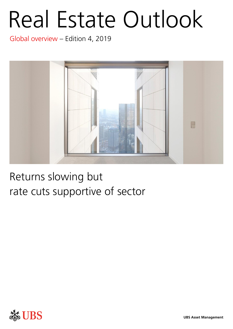# Real Estate Outlook

Global overview – Edition 4, 2019



# Returns slowing but rate cuts supportive of sector

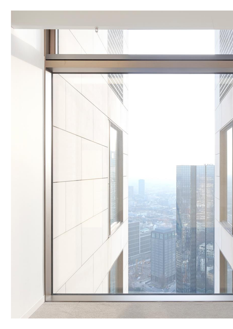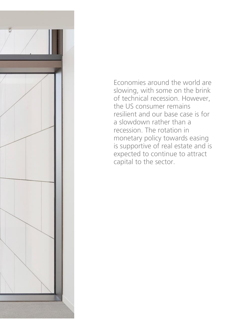

Economies around the world are slowing, with some on the brink of technical recession. However, the US consumer remains resilient and our base case is for a slowdown rather than a recession. The rotation in monetary policy towards easing is supportive of real estate and is expected to continue to attract capital to the sector.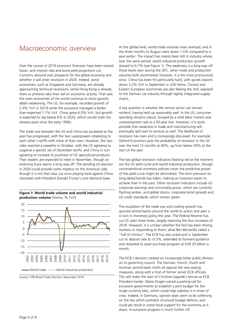## Macroeconomic overview

Over the course of 2019 economic forecasts have been revised lower, and interest rate and bond yield projections cut. Concerns abound over prospects for the global economy and whether it will enter recession in 2020. Indeed, some economies, such as Singapore and Germany, are already approaching technical recessions, while Hong Kong is already there as protests take their toll on economic activity. That said, the main economies of the world continue to show growth, albeit weakening. The US, for example, recorded growth of 2.0% YoY in 3Q19 while the eurozone managed a betterthan-expected 1.1% YoY. China grew 6.0% YoY, but growth is expected to slip below 6% in 2020, which would mark the slowest pace since the early 1990s.

The trade war between the US and China has escalated as the year has progressed, with the two superpowers retaliating to each other's tariffs with more of their own. However, the two sides reached a ceasefire in October, with the US agreeing to suspend a specific set of December tariffs, and China in turn agreeing to increase its purchase of US agricultural products. Their leaders are expected to meet in November, though an enduring truce seems a long way off. The pending US election in 2020 could provide some impetus on the American side, though it is not that clear cut since playing hard against China resonates with President Donald Trump's core electoral base.





Source: CPB World Trade Monitor, November 2019

At the global level, world trade volumes have reversed, and in the three months to August were down 1.5% compared to a year earlier. The impact has mainly been felt in industry where, over the same period, world industrial production growth slowed to 0.7% (see Figure 1). The weakness is a long way off those levels seen during the GFC, when trade and production volumes both plummeted; however, it is the most pronounced since. China has been hit particularly hard, with goods exports down 3.2% YoY in September in USD terms. Central and Eastern European economies are also feeling the chill, exposed to the German car industry through tightly integrated supply chains.

A key question is whether the service sector can remain resilient, having held up reasonably well. In the US, consumer spending remains robust, buoyed by a solid labor market and unemployment rate at a 50-year low. However, it is quite possible that weakness in trade and manufacturing will eventually spill over to services as well. The likelihood of recession has risen and is increasingly discussed. For example, Oxford Economics puts the probability of recession in the US over the next 12 months at 40%, up from below 30% at the start of the year.

The key global recession indicators flashing red at the moment are the US yield curve and world industrial production, though unconventional monetary policies mean the predictive power of the yield curve might be diminished. The term premium on long-dated bonds has fallen, making an inversion easier to achieve than in the past. Other recession indicators include US corporate earnings and commodity prices, which are currently flashing amber, and global stocks, corporate bond spreads and US credit standards, which remain green.

The escalation of the trade war and cooling growth has spurred central banks around the world to action and seen a U-turn in monetary policy this year. The Federal Reserve has cut US rates three times, largely reversing the four increases of 2018. However, it is unclear whether the Fed has been driving markets or responding to them; what Ben Bernanke called a "hall of mirrors". The ECB has also acted and in September cut its deposit rate to -0.5%, extended its forward guidance and restarted its asset purchase program at EUR 20 billion a month.

The ECB's decision created an increasingly bitter public division on its governing council. The German, French, Dutch and Austrian central bank chiefs all oppose the new easing measures, along with a host of former senior ECB officials. This will make the start of Christine Lagarde's tenure as ECB President harder. Mario Draghi voiced a parting call for eurozone governments to establish a joint budget for the single currency bloc, which could help stabilize it in times of crisis. Indeed, in Germany, opinion does seem to be softening on the law which prohibits structural budget deficits, and could yet result in some fiscal support for the economy as it slows. A eurozone program is much further off.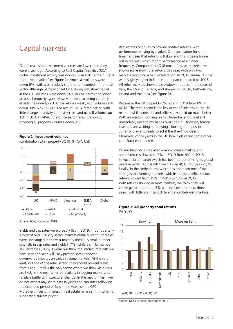## Capital markets

Global real estate investment volumes are lower than they were a year ago. According to Real Capital Analytics (RCA), global investment activity was down 7% in USD terms in 3Q19 from a year earlier (see Figure 2). Americas volumes were down 6%, with a particularly sharp drop recorded in the retail sector although partially offset by a strong industrial market. In the UK, volumes were down 34% in USD terms and lower across all property types. However, even excluding currency effects the underlying UK market was weak, with volumes still down 30% YoY in GBP. The rest of EMEA fared better, with little change in activity in most sectors and overall volumes up 1% in USD. In APAC, the office sector fared the worst, dragging all property volumes down 9%.

#### **Figure 2: Investment volumes**

(contribution to all property 3Q19 % YoY, USD)



Source: RCA; November 2019

Yields and cap rates were broadly flat in 3Q19. In our quarterly survey of over 330 city-sector markets globally we found yields were unchanged in the vast majority (68%). A small number saw falls in cap rates and yields (17%) while a similar number saw increases (14%). Overall we think the interest rate cuts we have seen this year will likely provide some renewed downwards impetus on yields in some markets. At the very least, outside of the retail sector, they should prevent yields from rising. Retail is the only sector where we think yield rises are likely in the near term, particularly in lagging markets, as retailers battle with structural change. In the medium term we do not expect any sharp rises in yields and cap rates following the extended period of falls in the wake of the GFC.

Moreover, investor interest in real estate remains firm, which is supporting current pricing.

Real estate continues to provide positive returns, with performance varying by market. Our expectation for some time has been that returns will slow and this is being borne out in markets which report performance at a higher frequency. Compared to 4Q18 most of these markets have shown some slowing in returns this year, with only two markets recording a mild acceleration. In 2Q19 annual returns were slightly higher in France and Japan compared to 4Q18. All other markets showed a slowdown, modest in the cases of Italy, the US and Canada, and sharper in the UK, Netherlands, Ireland and Australia (see Figure 3).

Returns in the UK slipped to 2% YoY in 3Q19 from 6% in 4Q18. The retail sector is the key driver of softness in the UK market, while industrial and offices have held up much better. With an election looming on 12 December and Brexit still unresolved, uncertainty hangs over the UK. However, foreign investors are waiting in the wings, looking for a possible currency play and ready to act if the Brexit fog clears. Moreover, office yields in the UK look high versus some other core European markets.

Ireland historically has been a more volatile market, and annual returns slowed to 7% in 3Q19 from 9% in 4Q18. In Australia, a market which has been outperforming its global peers recently, returns fell from 10% in 4Q18 to 8% in 2Q19. Finally, in the Netherlands, which has also been one of the strongest performing markets, with its buoyant office sector, returns slowed from 15% in 4Q18 to 13% in 2Q19. With returns slowing in most markets, we think they will converge to around the 5% p.a. level over the next three years, with little significant differentiation between markets.

#### **Figure 3: All property total returns** (% YoY)



Source: MSCI; NCREIF; November 2019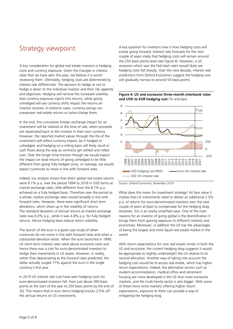# Strategy viewpoint

A key consideration for global real estate investors is hedging costs and currency exposure. Given the changes in interest rates that we have seen this year, we believe it is worth reviewing them. Ultimately, hedging costs are determined by interest rate differentials. The decision to hedge or not to hedge is down to the individual investor and their risk appetite and objectives. Hedging will remove the increased volatility that currency exposure injects into returns, while going unhedged will see currency shifts impact the returns an investor receives. In extreme cases, currency swings can overpower real estate returns or turbo-charge them.

In the end, the cumulative foreign exchange impact for an investment will be realized at the time of sale, when proceeds are repatriated back to the investor in their own currency. However, the reported market values through the life of the investment will reflect currency impact, be it hedged or unhedged, and hedging on a rolling basis will likely result in cash flows along the way as contracts get settled and rolled over. Over the longer time horizon though we would expect the impact on total returns of going unhedged to be little different from going fully hedged since, on average, we would expect currencies to move in line with forward rates.

Indeed, our analysis shows that direct global real estate returns were 9.1% p.a. over the period 1994 to 2018 in USD terms at market exchange rates, little different from the 8.7% p.a. achieved on a fully hedged basis. Therefore over the period as a whole, market exchange rates moved broadly in line with forward rates. However, there were significant short term deviations, which show up in the volatility of returns. The standard deviation of annual returns at market exchange rates was 6.0% p.a., while it was 4.8% p.a. for fully hedged returns. Hence hedging does reduce return volatility.

The launch of the euro is a good case study of when currencies do not move in line with forward rates and when a substantial deviation exists. When the euro launched in 1999, US short-term interest rates were above eurozone rates and hence there was a cost for euro-denominated investors to hedge their investments in US assets. However, in reality, rather than depreciating as the forward rates predicted, the dollar actually surged 17% against the euro in the single currency's first year.

In 2019 US interest rate cuts have seen hedging costs for euro-denominated investors fall, from just above 300 basis points at the start of the year to 250 basis points by the end of 3Q. This means that in euro terms hedging knocks 2.5% off the annual returns on US investments.

A key question for investors now is how hedging costs will evolve going forward. Interest rate forecasts for the next couple of years imply that hedging costs will remain around the 250 basis points level (see Figure 4). However, a US recession which saw the Fed slash rates would likely see hedging costs fall sharply. Over the next decade, interest rate predictions from Oxford Economics suggest the hedging cost will gradually narrow to around 50 basis points.





Source: Oxford Economics; November 2019

What does this mean for investment strategy? At face value it implies that US investments need to deliver an additional 2.5% p.a. of returns for euro-denominated investors over the next couple of years at least to compensate for the hedging drag. However, this is an overly simplified view. One of the main reasons for an investor of going global is the diversification it brings them from gaining exposure to different markets and economies. Moreover, in addition the US has the advantages of being the largest and most liquid real estate market in the world.

With return expectations for core real estate similar in both the US and eurozone, the current hedging drag suggests it would be appropriate to slightly underweight the US relative to its neutral allocation. Another way of taking into account the hedging cost would be to access real estate, which has higher return expectations. Indeed, the alternative sectors such as student accommodation, medical office and retirement housing are more developed in the US than most eurozone markets, and the multi-family sector is also bigger. With some of these more niche markets offering higher return expectations, exposure to them can provide a way of mitigating the hedging drag.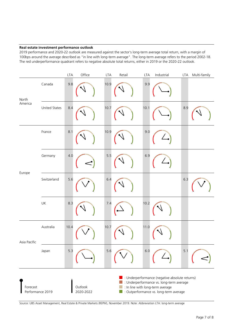#### **Real estate investment performance outlook**

2019 performance and 2020-22 outlook are measured against the sector's long-term average total return, with a margin of 100bps around the average described as "in line with long-term average". The long-term average refers to the period 2002-18. The red underperformance quadrant refers to negative absolute total returns, either in 2019 or the 2020-22 outlook.

|                              |                     | <b>LTA</b> | Office               | <b>LTA</b> | Retail | <b>LTA</b> | Industrial                                                                                                                                                               | <b>LTA</b> | Multi-family |
|------------------------------|---------------------|------------|----------------------|------------|--------|------------|--------------------------------------------------------------------------------------------------------------------------------------------------------------------------|------------|--------------|
| North<br>America             | Canada              | 9.8        |                      | 10.9       |        | 9.9        |                                                                                                                                                                          |            |              |
|                              | United States       | 8.4        |                      | 10.7       |        | 10.1       |                                                                                                                                                                          | 8.9        |              |
| Europe                       | France              | 8.1        |                      | 10.9       |        | 9.0        |                                                                                                                                                                          |            |              |
|                              | Germany             | 4.0        |                      | 5.5        |        | 6.9        |                                                                                                                                                                          |            |              |
|                              | Switzerland         | 5.6        |                      | 6.4        |        |            |                                                                                                                                                                          | 6.3        |              |
|                              | $\mathsf{UK}% _{0}$ | 8.3        |                      | 7.4        |        | 10.2       |                                                                                                                                                                          |            |              |
| Asia Pacific                 | Australia           | 10.4       |                      | 10.7       |        | 11.0       |                                                                                                                                                                          |            |              |
|                              | Japan               | 5.3        |                      | 5.6        |        | $6.0$      |                                                                                                                                                                          | 5.1        |              |
| Forecast<br>Performance 2019 |                     |            | Outlook<br>2020-2022 |            |        |            | : Underperformance (negative absolute returns)<br>: Underperformance vs. long-term average<br>: In line with long-term average<br>: Outperformance vs. long-term average |            |              |

Source: UBS Asset Management, Real Estate & Private Markets (REPM), November 2019. Note: Abbreviation LTA: long-term average